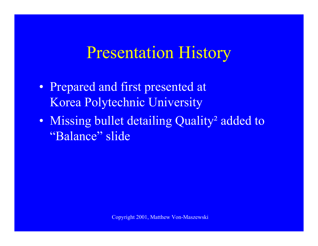#### Presentation History

- Prepared and first presented at Korea Polytechnic University
- Missing bullet detailing Quality<sup>2</sup> added to "Balance" slide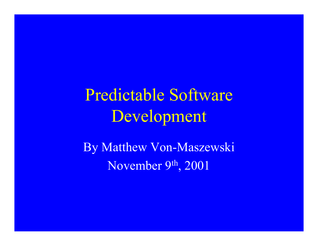Predictable Software Development

By Matthew Von-Maszewski November 9th, 2001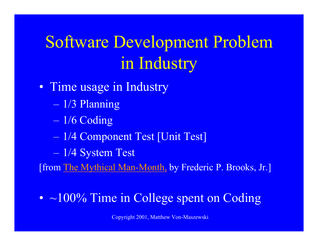# Software Development Problem in Industry

- Time usage in Industry
	- 1/3 Planning
	- 1/6 Coding
	- 1/4 Component Test [Unit Test]
	- en al control de la control de la control de la control de la control de la control de la control de la control de la control de la control de la control de la control de la control de la control de la control de la contro 1/4 System Test

[from The Mythical Man-Month, by Frederic P. Brooks, Jr.]

• ~100% Time in College spent on Coding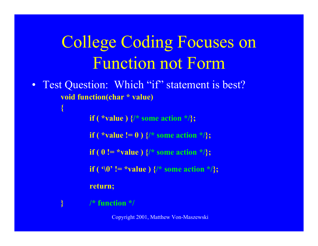## College Coding Focuses on Function not Form

 $\bullet$ Test Question: Which "if" statement is best? **void function(char \* value)**

**if** ( \*value )  $\{$  \* some action \*/ $\}$ ;

**if** ( \*value !=  $\overline{0}$  ) {/\* some action \*/};

**if ( 0 != \*value )**  $\{$ /\* some action \*/ $\}$ ;

**if** ( '\0' != \*value )  $\{$ /\* some action \*/ $\}$ ;

**return;**

**} /\* function \*/**

**{**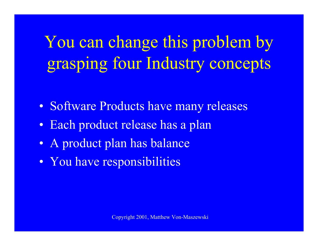You can change this problem by grasping four Industry concepts

- Software Products have many releases
- Each product release has a plan
- A product plan has balance
- You have responsibilities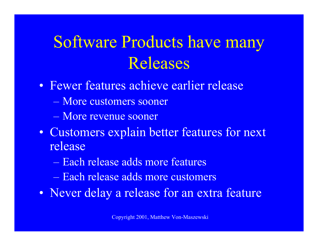## Software Products have many Releases

- Fewer features achieve earlier release
	- More customers sooner
	- More revenue sooner
- Customers explain better features for next release
	- Each release adds more features
	- Each release adds more customers
- Never delay a release for an extra feature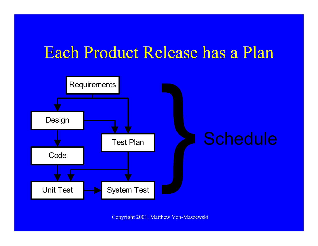### Each Product Release has a Plan

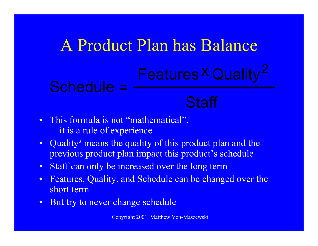#### A Product Plan has Balance Schedule = Features <sup>x</sup> Quality **Staff**  $\times$  Ouglity  $^2$

- This formula is not "mathematical", it is a rule of experience
- Quality<sup>2</sup> means the quality of this product plan and the previous product plan impact this product's schedule
- $\bullet$ Staff can only be increased over the long term
- $\bullet$  Features, Quality, and Schedule can be changed over the short term
- $\bullet$ But try to never change schedule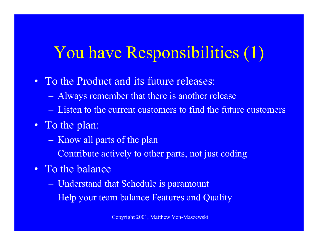## You have Responsibilities (1)

- To the Product and its future releases:
	- <u>– Liberator Angelski, politik artistor (</u> Always remember that there is another release
	- Listen to the current customers to find the future customers
- To the plan:
	- $\mathcal{L}_{\mathcal{A}}$ Know all parts of the plan
	- $\mathcal{L}_{\mathcal{A}}$ Contribute actively to other parts, not just coding
- To the balance
	- $\mathcal{L}_{\mathcal{A}}$ Understand that Schedule is paramount
	- $\mathcal{L}_{\mathcal{A}}$ Help your team balance Features and Quality